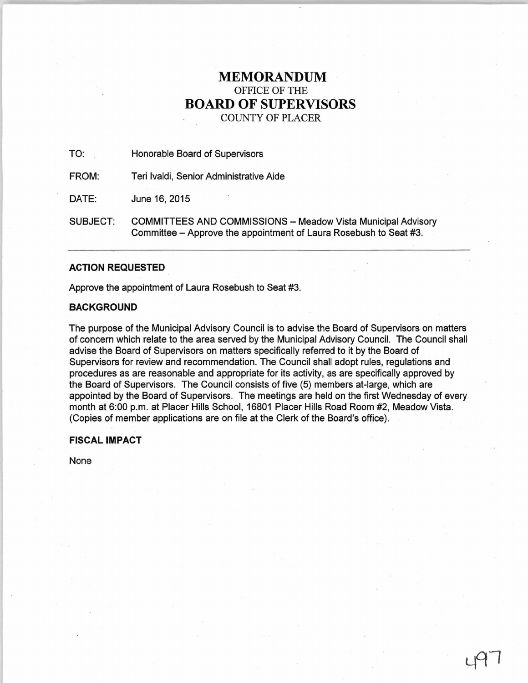# **MEMORANDUM**  OFFICE OF THE **BOARD OF SUPERVISORS**  COUNTY OF PLACER

TO: Honorable Board of Supervisors

FROM: Teri lvaldi, Senior Administrative Aide

DATE: June 16, 2015

SUBJECT: COMMITTEES AND COMMISSIONS - Meadow Vista Municipal Advisory Committee - Approve the appointment of Laura Rosebush to Seat #3.

## **ACTION REQUESTED**

Approve the appointment of Laura Rosebush to Seat #3.

## **BACKGROUND**

The purpose of the Municipal Advisory Council is to advise the Board of Supervisors on matters of concern which relate to the area served by the Municipal Advisory Council. The Council shall advise the Board of Supervisors on matters specifically referred to it by the Board of Supervisors for review and recommendation. The Council shall adopt rules, regulations and procedures as are reasonable and appropriate for its activity, as are specifically approved by the Board of Supervisors. The Council consists of five (5) members at-large, which are appointed by the Board of Supervisors. The meetings are held on the first Wednesday of every month at 6:00 p.m. at Placer Hills School, 16801 Placer Hills Road Room #2, Meadow Vista. (Copies of member applications are on file at the Clerk of the Board's office).

## **FISCAL IMPACT**

None